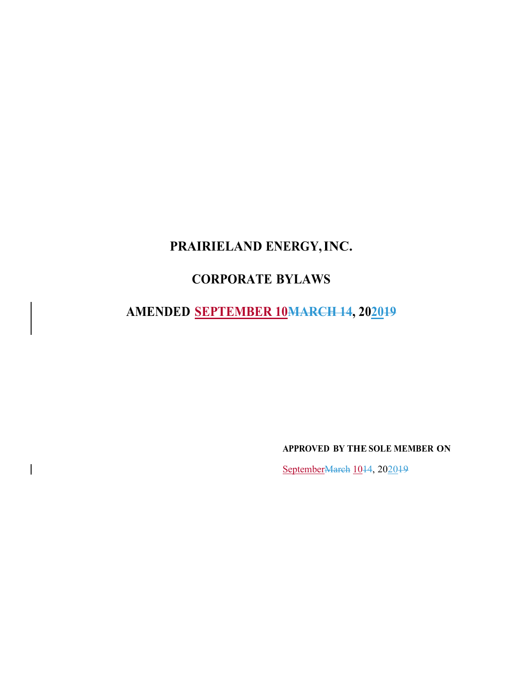# **PRAIRIELAND ENERGY,INC.**

# **CORPORATE BYLAWS**

**AMENDED SEPTEMBER 10MARCH 14, 202019**

**APPROVED BY THE SOLE MEMBER ON**

SeptemberMarch 1044, 202049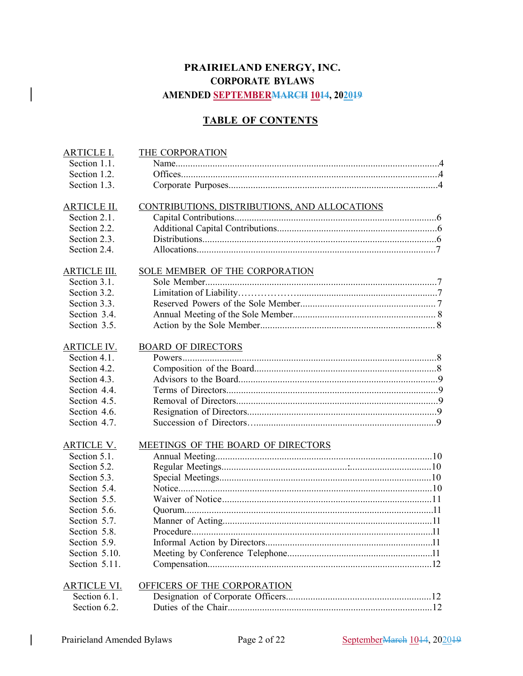# **PRAIRIELAND ENERGY, INC. CORPORATE BYLAWS AMENDED SEPTEMBERMARCH 1014, 202019**

# **TABLE OF CONTENTS**

| <b>ARTICLE I.</b>   | THE CORPORATION                               |
|---------------------|-----------------------------------------------|
| Section 1.1.        |                                               |
| Section 1.2.        |                                               |
| Section 1.3.        |                                               |
| <b>ARTICLE II.</b>  | CONTRIBUTIONS, DISTRIBUTIONS, AND ALLOCATIONS |
| Section 2.1.        |                                               |
| Section 2.2.        |                                               |
| Section 2.3.        |                                               |
| Section 2.4.        |                                               |
| <b>ARTICLE III.</b> | SOLE MEMBER OF THE CORPORATION                |
| Section 3.1.        |                                               |
| Section 3.2.        |                                               |
| Section 3.3.        |                                               |
| Section 3.4.        |                                               |
| Section 3.5.        |                                               |
| <b>ARTICLE IV.</b>  | <b>BOARD OF DIRECTORS</b>                     |
| Section 4.1.        |                                               |
| Section 4.2.        |                                               |
| Section 4.3.        |                                               |
| Section 4.4.        |                                               |
| Section 4.5.        |                                               |
| Section 4.6.        |                                               |
| Section 4.7.        |                                               |
| <b>ARTICLE V.</b>   | MEETINGS OF THE BOARD OF DIRECTORS            |
| Section 5.1.        |                                               |
| Section 5.2.        |                                               |
| Section 5.3.        |                                               |
| Section 5.4.        |                                               |
| Section 5.5.        |                                               |
| Section 5.6.        |                                               |
| Section 5.7.        |                                               |
| Section 5.8.        |                                               |
| Section 5.9.        |                                               |
| Section 5.10.       |                                               |
| Section 5.11.       |                                               |
| <b>ARTICLE VI.</b>  | OFFICERS OF THE CORPORATION                   |
| Section 6.1.        |                                               |
| Section 6.2.        |                                               |

 $\mathbf{I}$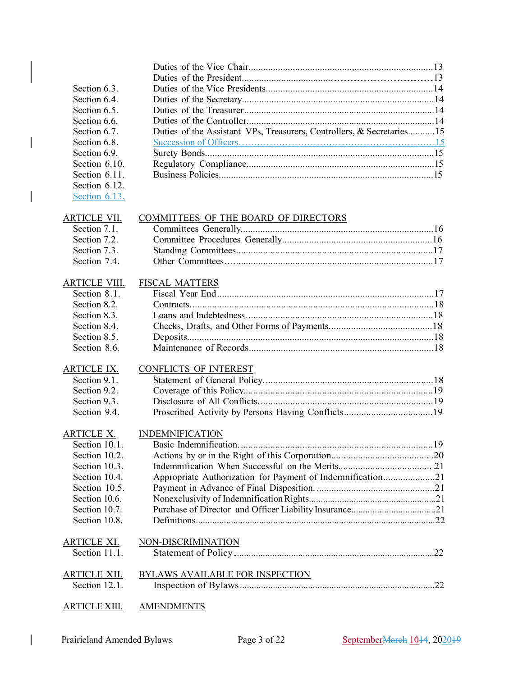| Section 6.3.         |                                                                       |  |
|----------------------|-----------------------------------------------------------------------|--|
| Section 6.4.         |                                                                       |  |
| Section 6.5.         |                                                                       |  |
| Section 6.6.         |                                                                       |  |
| Section 6.7.         | Duties of the Assistant VPs, Treasurers, Controllers, & Secretaries15 |  |
| Section 6.8.         |                                                                       |  |
| Section 6.9.         |                                                                       |  |
| Section 6.10.        |                                                                       |  |
| Section 6.11.        |                                                                       |  |
| Section 6.12.        |                                                                       |  |
| Section 6.13.        |                                                                       |  |
| <b>ARTICLE VII.</b>  | COMMITTEES OF THE BOARD OF DIRECTORS                                  |  |
| Section 7.1.         |                                                                       |  |
| Section 7.2.         |                                                                       |  |
| Section 7.3.         |                                                                       |  |
| Section 7.4.         |                                                                       |  |
| <b>ARTICLE VIII.</b> | <b>FISCAL MATTERS</b>                                                 |  |
| Section 8.1.         |                                                                       |  |
| Section 8.2.         |                                                                       |  |
| Section 8.3.         |                                                                       |  |
| Section 8.4.         |                                                                       |  |
| Section 8.5.         |                                                                       |  |
| Section 8.6.         |                                                                       |  |
| <b>ARTICLE IX.</b>   | <b>CONFLICTS OF INTEREST</b>                                          |  |
| Section 9.1.         |                                                                       |  |
| Section 9.2.         |                                                                       |  |
| Section 9.3.         |                                                                       |  |
| Section 9.4.         |                                                                       |  |
| <b>ARTICLE X.</b>    | <b>INDEMNIFICATION</b>                                                |  |
| Section 10.1.        |                                                                       |  |
| Section 10.2.        |                                                                       |  |
| Section 10.3.        |                                                                       |  |
| Section 10.4.        | Appropriate Authorization for Payment of Indemnification21            |  |
| Section 10.5.        |                                                                       |  |
| Section 10.6.        |                                                                       |  |
| Section 10.7.        |                                                                       |  |
| Section 10.8.        |                                                                       |  |
| <u>ARTICLE XI.</u>   | NON-DISCRIMINATION                                                    |  |
| Section 11.1.        |                                                                       |  |
| <b>ARTICLE XII.</b>  | <b>BYLAWS AVAILABLE FOR INSPECTION</b>                                |  |
| Section 12.1.        |                                                                       |  |
| <b>ARTICLE XIII.</b> | <b>AMENDMENTS</b>                                                     |  |

 $\overline{\phantom{a}}$ 

 $\begin{array}{c} \rule{0pt}{2ex} \rule{0pt}{2ex} \rule{0pt}{2ex} \rule{0pt}{2ex} \rule{0pt}{2ex} \rule{0pt}{2ex} \rule{0pt}{2ex} \rule{0pt}{2ex} \rule{0pt}{2ex} \rule{0pt}{2ex} \rule{0pt}{2ex} \rule{0pt}{2ex} \rule{0pt}{2ex} \rule{0pt}{2ex} \rule{0pt}{2ex} \rule{0pt}{2ex} \rule{0pt}{2ex} \rule{0pt}{2ex} \rule{0pt}{2ex} \rule{0pt}{2ex} \rule{0pt}{2ex} \rule{0pt}{2ex} \rule{0pt}{2ex} \rule{0pt}{$ 

 $\overline{\phantom{a}}$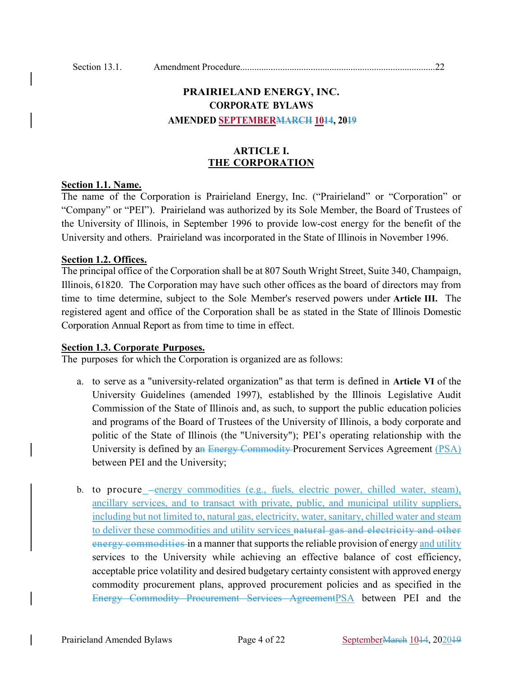# **PRAIRIELAND ENERGY, INC. CORPORATE BYLAWS AMENDED SEPTEMBERMARCH 1014, 2019**

# **ARTICLE I. THE CORPORATION**

#### **Section 1.1. Name.**

The name of the Corporation is Prairieland Energy, Inc. ("Prairieland" or "Corporation" or "Company" or "PEI"). Prairieland was authorized by its Sole Member, the Board of Trustees of the University of Illinois, in September 1996 to provide low-cost energy for the benefit of the University and others. Prairieland was incorporated in the State of Illinois in November 1996.

#### **Section 1.2. Offices.**

The principal office of the Corporation shall be at 807 South Wright Street, Suite 340, Champaign, Illinois, 61820. The Corporation may have such other offices as the board of directors may from time to time determine, subject to the Sole Member's reserved powers under **Article III.** The registered agent and office of the Corporation shall be as stated in the State of Illinois Domestic Corporation Annual Report as from time to time in effect.

#### **Section 1.3. Corporate Purposes.**

The purposes for which the Corporation is organized are as follows:

- a. to serve as a "university-related organization" as that term is defined in **Article VI** of the University Guidelines (amended 1997), established by the Illinois Legislative Audit Commission of the State of Illinois and, as such, to support the public education policies and programs of the Board of Trustees of the University of Illinois, a body corporate and politic of the State of Illinois (the "University"); PEI's operating relationship with the University is defined by an Energy Commodity Procurement Services Agreement (PSA) between PEI and the University;
- b. to procure energy commodities (e.g., fuels, electric power, chilled water, steam), ancillary services, and to transact with private, public, and municipal utility suppliers, including but not limited to, natural gas, electricity, water, sanitary, chilled water and steam to deliver these commodities and utility services natural gas and electricity and other energy commodities in a manner that supports the reliable provision of energy and utility services to the University while achieving an effective balance of cost efficiency, acceptable price volatility and desired budgetary certainty consistent with approved energy commodity procurement plans, approved procurement policies and as specified in the Energy Commodity Procurement Services AgreementPSA between PEI and the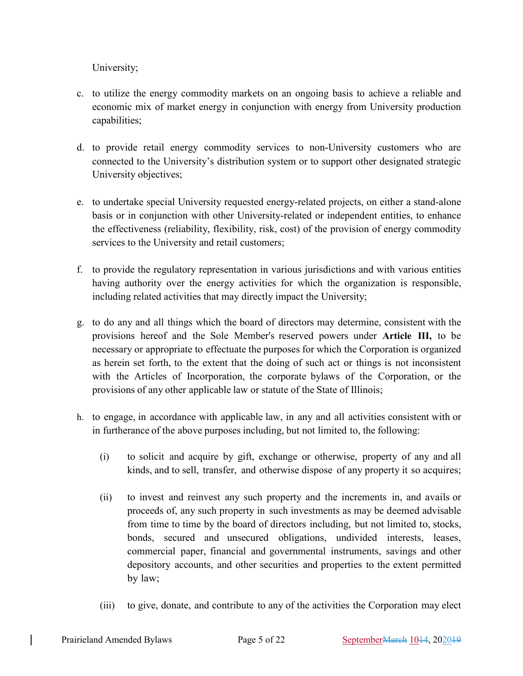University;

- c. to utilize the energy commodity markets on an ongoing basis to achieve a reliable and economic mix of market energy in conjunction with energy from University production capabilities;
- d. to provide retail energy commodity services to non-University customers who are connected to the University's distribution system or to support other designated strategic University objectives;
- e. to undertake special University requested energy-related projects, on either a stand-alone basis or in conjunction with other University-related or independent entities, to enhance the effectiveness (reliability, flexibility, risk, cost) of the provision of energy commodity services to the University and retail customers;
- f. to provide the regulatory representation in various jurisdictions and with various entities having authority over the energy activities for which the organization is responsible, including related activities that may directly impact the University;
- g. to do any and all things which the board of directors may determine, consistent with the provisions hereof and the Sole Member's reserved powers under **Article III,** to be necessary or appropriate to effectuate the purposes for which the Corporation is organized as herein set forth, to the extent that the doing of such act or things is not inconsistent with the Articles of Incorporation, the corporate bylaws of the Corporation, or the provisions of any other applicable law or statute of the State of Illinois;
- h. to engage, in accordance with applicable law, in any and all activities consistent with or in furtherance of the above purposes including, but not limited to, the following:
	- (i) to solicit and acquire by gift, exchange or otherwise, property of any and all kinds, and to sell, transfer, and otherwise dispose of any property it so acquires;
	- (ii) to invest and reinvest any such property and the increments in, and avails or proceeds of, any such property in such investments as may be deemed advisable from time to time by the board of directors including, but not limited to, stocks, bonds, secured and unsecured obligations, undivided interests, leases, commercial paper, financial and governmental instruments, savings and other depository accounts, and other securities and properties to the extent permitted by law;
	- (iii) to give, donate, and contribute to any of the activities the Corporation may elect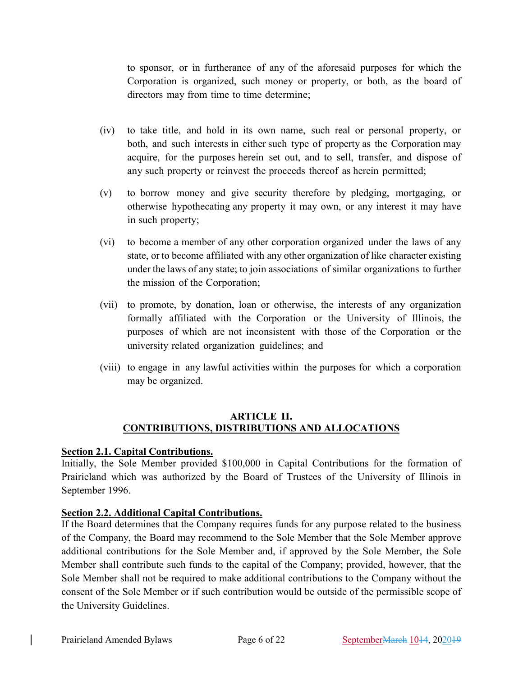to sponsor, or in furtherance of any of the aforesaid purposes for which the Corporation is organized, such money or property, or both, as the board of directors may from time to time determine;

- (iv) to take title, and hold in its own name, such real or personal property, or both, and such interests in either such type of property as the Corporation may acquire, for the purposes herein set out, and to sell, transfer, and dispose of any such property or reinvest the proceeds thereof as herein permitted;
- (v) to borrow money and give security therefore by pledging, mortgaging, or otherwise hypothecating any property it may own, or any interest it may have in such property;
- (vi) to become a member of any other corporation organized under the laws of any state, or to become affiliated with any other organization of like character existing under the laws of any state; to join associations of similar organizations to further the mission of the Corporation;
- (vii) to promote, by donation, loan or otherwise, the interests of any organization formally affiliated with the Corporation or the University of Illinois, the purposes of which are not inconsistent with those of the Corporation or the university related organization guidelines; and
- (viii) to engage in any lawful activities within the purposes for which a corporation may be organized.

# **ARTICLE II. CONTRIBUTIONS, DISTRIBUTIONS AND ALLOCATIONS**

# **Section 2.1. Capital Contributions.**

Initially, the Sole Member provided \$100,000 in Capital Contributions for the formation of Prairieland which was authorized by the Board of Trustees of the University of Illinois in September 1996.

# **Section 2.2. Additional Capital Contributions.**

If the Board determines that the Company requires funds for any purpose related to the business of the Company, the Board may recommend to the Sole Member that the Sole Member approve additional contributions for the Sole Member and, if approved by the Sole Member, the Sole Member shall contribute such funds to the capital of the Company; provided, however, that the Sole Member shall not be required to make additional contributions to the Company without the consent of the Sole Member or if such contribution would be outside of the permissible scope of the University Guidelines.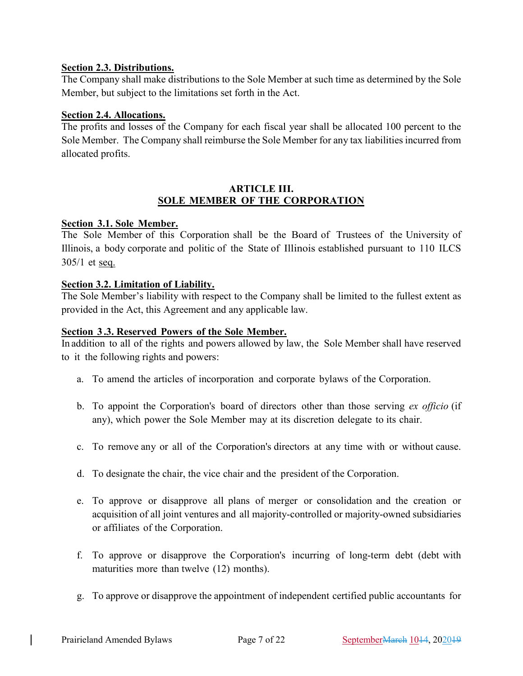# **Section 2.3. Distributions.**

The Company shall make distributions to the Sole Member at such time as determined by the Sole Member, but subject to the limitations set forth in the Act.

### **Section 2.4. Allocations.**

The profits and losses of the Company for each fiscal year shall be allocated 100 percent to the Sole Member. The Company shall reimburse the Sole Member for any tax liabilities incurred from allocated profits.

#### **ARTICLE III. SOLE MEMBER OF THE CORPORATION**

#### **Section 3.1. Sole Member.**

The Sole Member of this Corporation shall be the Board of Trustees of the University of Illinois, a body corporate and politic of the State of Illinois established pursuant to 110 ILCS 305/1 et seq.

# **Section 3.2. Limitation of Liability.**

The Sole Member's liability with respect to the Company shall be limited to the fullest extent as provided in the Act, this Agreement and any applicable law.

#### **Section 3 .3. Reserved Powers of the Sole Member.**

In addition to all of the rights and powers allowed by law, the Sole Member shall have reserved to it the following rights and powers:

- a. To amend the articles of incorporation and corporate bylaws of the Corporation.
- b. To appoint the Corporation's board of directors other than those serving *ex officio* (if any), which power the Sole Member may at its discretion delegate to its chair.
- c. To remove any or all of the Corporation's directors at any time with or without cause.
- d. To designate the chair, the vice chair and the president of the Corporation.
- e. To approve or disapprove all plans of merger or consolidation and the creation or acquisition of all joint ventures and all majority-controlled or majority-owned subsidiaries or affiliates of the Corporation.
- f. To approve or disapprove the Corporation's incurring of long-term debt (debt with maturities more than twelve (12) months).
- g. To approve or disapprove the appointment of independent certified public accountants for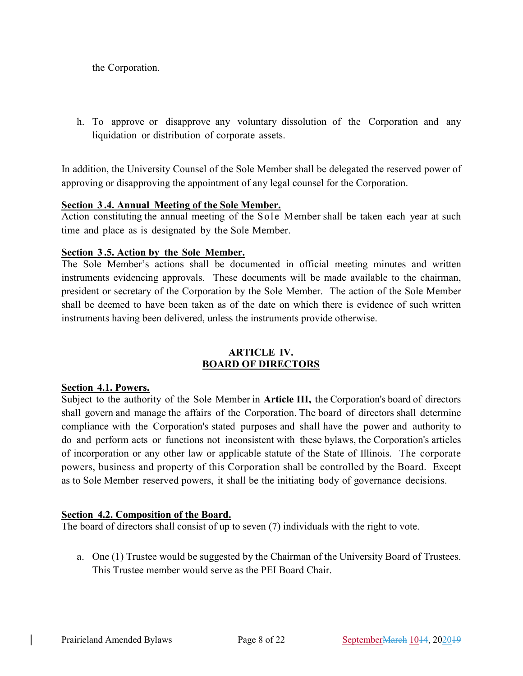the Corporation.

h. To approve or disapprove any voluntary dissolution of the Corporation and any liquidation or distribution of corporate assets.

In addition, the University Counsel of the Sole Member shall be delegated the reserved power of approving or disapproving the appointment of any legal counsel for the Corporation.

#### **Section 3 .4. Annual Meeting of the Sole Member.**

Action constituting the annual meeting of the Sole Member shall be taken each year at such time and place as is designated by the Sole Member.

#### **Section 3 .5. Action by the Sole Member.**

The Sole Member's actions shall be documented in official meeting minutes and written instruments evidencing approvals. These documents will be made available to the chairman, president or secretary of the Corporation by the Sole Member. The action of the Sole Member shall be deemed to have been taken as of the date on which there is evidence of such written instruments having been delivered, unless the instruments provide otherwise.

#### **ARTICLE IV. BOARD OF DIRECTORS**

#### **Section 4.1. Powers.**

Subject to the authority of the Sole Member in **Article III,** the Corporation's board of directors shall govern and manage the affairs of the Corporation. The board of directors shall determine compliance with the Corporation's stated purposes and shall have the power and authority to do and perform acts or functions not inconsistent with these bylaws, the Corporation's articles of incorporation or any other law or applicable statute of the State of Illinois. The corporate powers, business and property of this Corporation shall be controlled by the Board. Except as to Sole Member reserved powers, it shall be the initiating body of governance decisions.

#### **Section 4.2. Composition of the Board.**

The board of directors shall consist of up to seven (7) individuals with the right to vote.

a. One (1) Trustee would be suggested by the Chairman of the University Board of Trustees. This Trustee member would serve as the PEI Board Chair.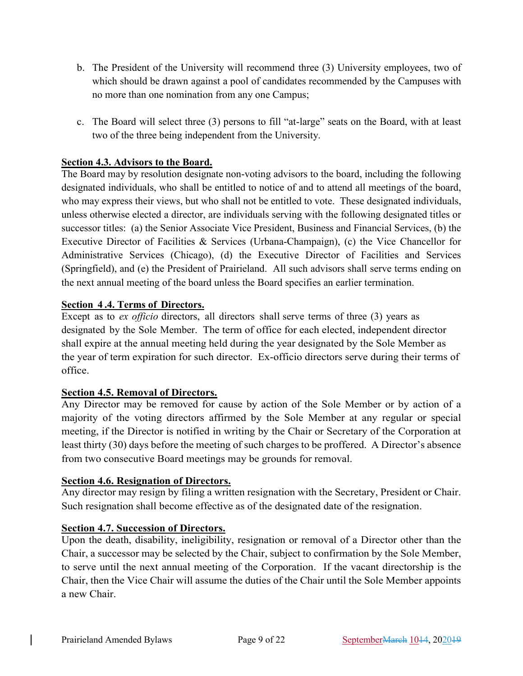- b. The President of the University will recommend three (3) University employees, two of which should be drawn against a pool of candidates recommended by the Campuses with no more than one nomination from any one Campus;
- c. The Board will select three (3) persons to fill "at-large" seats on the Board, with at least two of the three being independent from the University.

# **Section 4.3. Advisors to the Board.**

The Board may by resolution designate non-voting advisors to the board, including the following designated individuals, who shall be entitled to notice of and to attend all meetings of the board, who may express their views, but who shall not be entitled to vote. These designated individuals, unless otherwise elected a director, are individuals serving with the following designated titles or successor titles: (a) the Senior Associate Vice President, Business and Financial Services, (b) the Executive Director of Facilities & Services (Urbana-Champaign), (c) the Vice Chancellor for Administrative Services (Chicago), (d) the Executive Director of Facilities and Services (Springfield), and (e) the President of Prairieland. All such advisors shall serve terms ending on the next annual meeting of the board unless the Board specifies an earlier termination.

# **Section 4 .4. Terms of Directors.**

Except as to *ex officio* directors, all directors shall serve terms of three (3) years as designated by the Sole Member. The term of office for each elected, independent director shall expire at the annual meeting held during the year designated by the Sole Member as the year of term expiration for such director. Ex-officio directors serve during their terms of office.

# **Section 4.5. Removal of Directors.**

Any Director may be removed for cause by action of the Sole Member or by action of a majority of the voting directors affirmed by the Sole Member at any regular or special meeting, if the Director is notified in writing by the Chair or Secretary of the Corporation at least thirty (30) days before the meeting of such charges to be proffered. A Director's absence from two consecutive Board meetings may be grounds for removal.

# **Section 4.6. Resignation of Directors.**

Any director may resign by filing a written resignation with the Secretary, President or Chair. Such resignation shall become effective as of the designated date of the resignation.

# **Section 4.7. Succession of Directors.**

Upon the death, disability, ineligibility, resignation or removal of a Director other than the Chair, a successor may be selected by the Chair, subject to confirmation by the Sole Member, to serve until the next annual meeting of the Corporation. If the vacant directorship is the Chair, then the Vice Chair will assume the duties of the Chair until the Sole Member appoints a new Chair.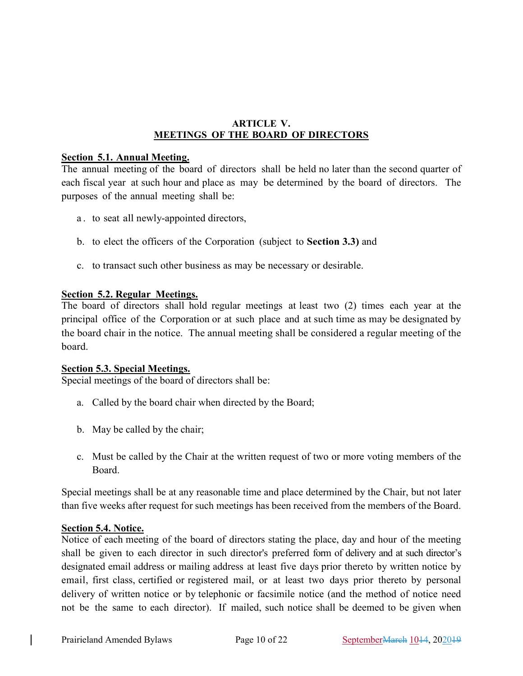# **ARTICLE V. MEETINGS OF THE BOARD OF DIRECTORS**

#### **Section 5.1. Annual Meeting.**

The annual meeting of the board of directors shall be held no later than the second quarter of each fiscal year at such hour and place as may be determined by the board of directors. The purposes of the annual meeting shall be:

- a . to seat all newly-appointed directors,
- b. to elect the officers of the Corporation (subject to **Section 3.3)** and
- c. to transact such other business as may be necessary or desirable.

#### **Section 5.2. Regular Meetings.**

The board of directors shall hold regular meetings at least two (2) times each year at the principal office of the Corporation or at such place and at such time as may be designated by the board chair in the notice. The annual meeting shall be considered a regular meeting of the board.

#### **Section 5.3. Special Meetings.**

Special meetings of the board of directors shall be:

- a. Called by the board chair when directed by the Board;
- b. May be called by the chair;
- c. Must be called by the Chair at the written request of two or more voting members of the Board.

Special meetings shall be at any reasonable time and place determined by the Chair, but not later than five weeks after request for such meetings has been received from the members of the Board.

### **Section 5.4. Notice.**

Notice of each meeting of the board of directors stating the place, day and hour of the meeting shall be given to each director in such director's preferred form of delivery and at such director's designated email address or mailing address at least five days prior thereto by written notice by email, first class, certified or registered mail, or at least two days prior thereto by personal delivery of written notice or by telephonic or facsimile notice (and the method of notice need not be the same to each director). If mailed, such notice shall be deemed to be given when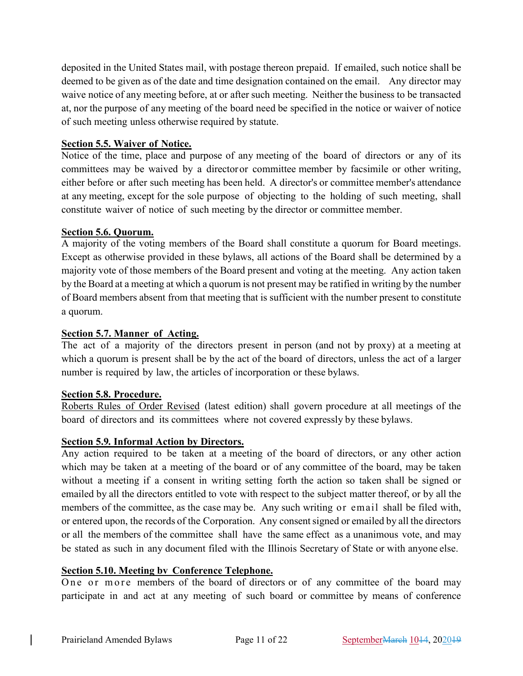deposited in the United States mail, with postage thereon prepaid. If emailed, such notice shall be deemed to be given as of the date and time designation contained on the email. Any director may waive notice of any meeting before, at or after such meeting. Neither the business to be transacted at, nor the purpose of any meeting of the board need be specified in the notice or waiver of notice of such meeting unless otherwise required by statute.

# **Section 5.5. Waiver of Notice.**

Notice of the time, place and purpose of any meeting of the board of directors or any of its committees may be waived by a directoror committee member by facsimile or other writing, either before or after such meeting has been held. A director's or committee member's attendance at any meeting, except for the sole purpose of objecting to the holding of such meeting, shall constitute waiver of notice of such meeting by the director or committee member.

#### **Section 5.6. Quorum.**

A majority of the voting members of the Board shall constitute a quorum for Board meetings. Except as otherwise provided in these bylaws, all actions of the Board shall be determined by a majority vote of those members of the Board present and voting at the meeting. Any action taken by the Board at a meeting at which a quorum is not present may be ratified in writing by the number of Board members absent from that meeting that is sufficient with the number present to constitute a quorum.

### **Section 5.7. Manner of Acting.**

The act of a majority of the directors present in person (and not by proxy) at a meeting at which a quorum is present shall be by the act of the board of directors, unless the act of a larger number is required by law, the articles of incorporation or these bylaws.

#### **Section 5.8. Procedure.**

Roberts Rules of Order Revised (latest edition) shall govern procedure at all meetings of the board of directors and its committees where not covered expressly by these bylaws.

#### **Section 5.9. Informal Action by Directors.**

Any action required to be taken at a meeting of the board of directors, or any other action which may be taken at a meeting of the board or of any committee of the board, may be taken without a meeting if a consent in writing setting forth the action so taken shall be signed or emailed by all the directors entitled to vote with respect to the subject matter thereof, or by all the members of the committee, as the case may be. Any such writing or email shall be filed with, or entered upon, the records of the Corporation. Any consentsigned or emailed by all the directors or all the members of the committee shall have the same effect as a unanimous vote, and may be stated as such in any document filed with the Illinois Secretary of State or with anyone else.

### **Section 5.10. Meeting bv Conference Telephone.**

One or more members of the board of directors or of any committee of the board may participate in and act at any meeting of such board or committee by means of conference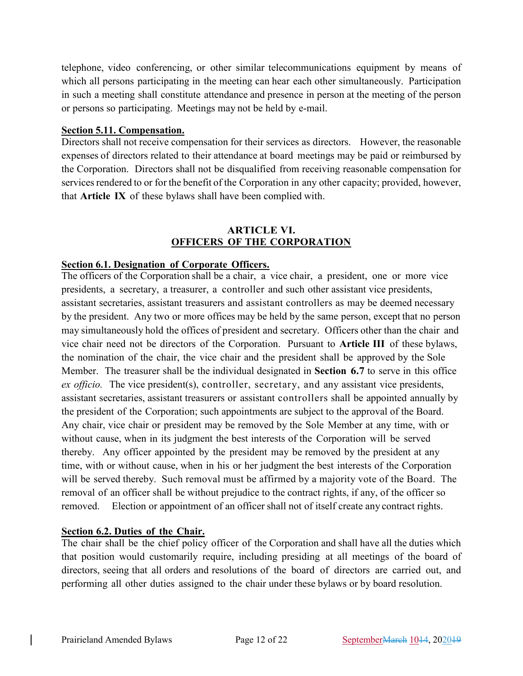telephone, video conferencing, or other similar telecommunications equipment by means of which all persons participating in the meeting can hear each other simultaneously. Participation in such a meeting shall constitute attendance and presence in person at the meeting of the person or persons so participating. Meetings may not be held by e-mail.

#### **Section 5.11. Compensation.**

Directors shall not receive compensation for their services as directors. However, the reasonable expenses of directors related to their attendance at board meetings may be paid or reimbursed by the Corporation. Directors shall not be disqualified from receiving reasonable compensation for services rendered to or for the benefit of the Corporation in any other capacity; provided, however, that **Article IX** of these bylaws shall have been complied with.

### **ARTICLE VI. OFFICERS OF THE CORPORATION**

#### **Section 6.1. Designation of Corporate Officers.**

The officers of the Corporation shall be a chair, a vice chair, a president, one or more vice presidents, a secretary, a treasurer, a controller and such other assistant vice presidents, assistant secretaries, assistant treasurers and assistant controllers as may be deemed necessary by the president. Any two or more offices may be held by the same person, except that no person may simultaneously hold the offices of president and secretary. Officers other than the chair and vice chair need not be directors of the Corporation. Pursuant to **Article III** of these bylaws, the nomination of the chair, the vice chair and the president shall be approved by the Sole Member. The treasurer shall be the individual designated in **Section 6.7** to serve in this office *ex officio.* The vice president(s), controller, secretary, and any assistant vice presidents, assistant secretaries, assistant treasurers or assistant controllers shall be appointed annually by the president of the Corporation; such appointments are subject to the approval of the Board. Any chair, vice chair or president may be removed by the Sole Member at any time, with or without cause, when in its judgment the best interests of the Corporation will be served thereby. Any officer appointed by the president may be removed by the president at any time, with or without cause, when in his or her judgment the best interests of the Corporation will be served thereby. Such removal must be affirmed by a majority vote of the Board. The removal of an officer shall be without prejudice to the contract rights, if any, of the officer so removed. Election or appointment of an officer shall not of itself create any contract rights.

#### **Section 6.2. Duties of the Chair.**

The chair shall be the chief policy officer of the Corporation and shall have all the duties which that position would customarily require, including presiding at all meetings of the board of directors, seeing that all orders and resolutions of the board of directors are carried out, and performing all other duties assigned to the chair under these bylaws or by board resolution.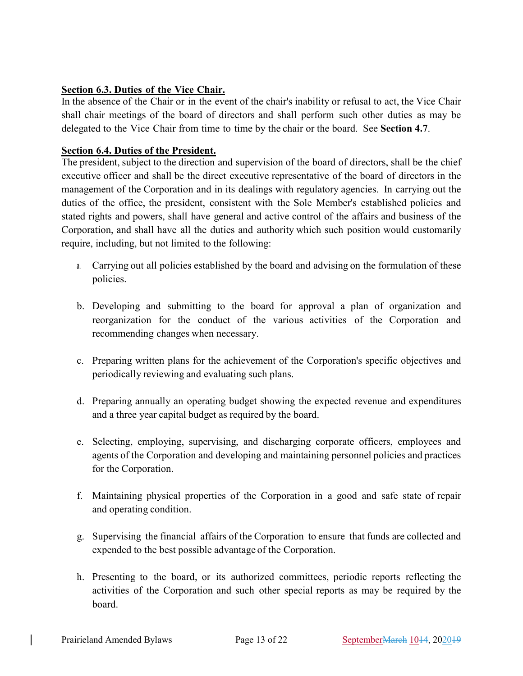# **Section 6.3. Duties of the Vice Chair.**

In the absence of the Chair or in the event of the chair's inability or refusal to act, the Vice Chair shall chair meetings of the board of directors and shall perform such other duties as may be delegated to the Vice Chair from time to time by the chair or the board. See **Section 4.7**.

# **Section 6.4. Duties of the President.**

The president, subject to the direction and supervision of the board of directors, shall be the chief executive officer and shall be the direct executive representative of the board of directors in the management of the Corporation and in its dealings with regulatory agencies. In carrying out the duties of the office, the president, consistent with the Sole Member's established policies and stated rights and powers, shall have general and active control of the affairs and business of the Corporation, and shall have all the duties and authority which such position would customarily require, including, but not limited to the following:

- a. Carrying out all policies established by the board and advising on the formulation of these policies.
- b. Developing and submitting to the board for approval a plan of organization and reorganization for the conduct of the various activities of the Corporation and recommending changes when necessary.
- c. Preparing written plans for the achievement of the Corporation's specific objectives and periodically reviewing and evaluating such plans.
- d. Preparing annually an operating budget showing the expected revenue and expenditures and a three year capital budget as required by the board.
- e. Selecting, employing, supervising, and discharging corporate officers, employees and agents of the Corporation and developing and maintaining personnel policies and practices for the Corporation.
- f. Maintaining physical properties of the Corporation in a good and safe state of repair and operating condition.
- g. Supervising the financial affairs of the Corporation to ensure that funds are collected and expended to the best possible advantage of the Corporation.
- h. Presenting to the board, or its authorized committees, periodic reports reflecting the activities of the Corporation and such other special reports as may be required by the board.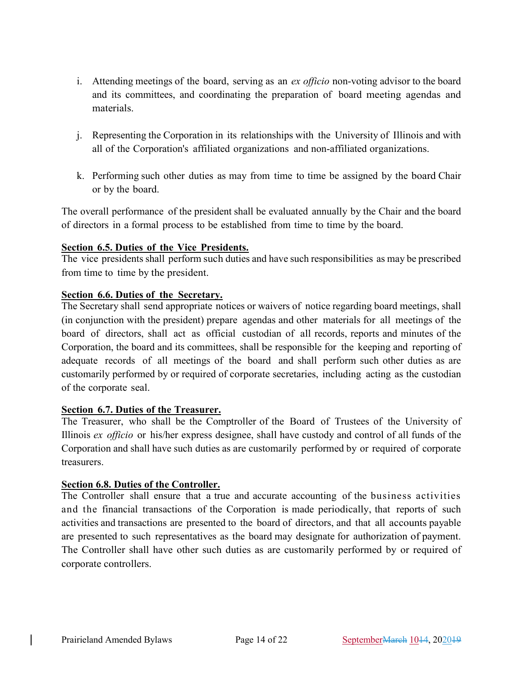- i. Attending meetings of the board, serving as an *ex officio* non-voting advisor to the board and its committees, and coordinating the preparation of board meeting agendas and materials.
- j. Representing the Corporation in its relationships with the University of Illinois and with all of the Corporation's affiliated organizations and non-affiliated organizations.
- k. Performing such other duties as may from time to time be assigned by the board Chair or by the board.

The overall performance of the president shall be evaluated annually by the Chair and the board of directors in a formal process to be established from time to time by the board.

# **Section 6.5. Duties of the Vice Presidents.**

The vice presidents shall perform such duties and have such responsibilities as may be prescribed from time to time by the president.

# **Section 6.6. Duties of the Secretary.**

The Secretary shall send appropriate notices or waivers of notice regarding board meetings, shall (in conjunction with the president) prepare agendas and other materials for all meetings of the board of directors, shall act as official custodian of all records, reports and minutes of the Corporation, the board and its committees, shall be responsible for the keeping and reporting of adequate records of all meetings of the board and shall perform such other duties as are customarily performed by or required of corporate secretaries, including acting as the custodian of the corporate seal.

#### **Section 6.7. Duties of the Treasurer.**

The Treasurer, who shall be the Comptroller of the Board of Trustees of the University of Illinois *ex officio* or his/her express designee, shall have custody and control of all funds of the Corporation and shall have such duties as are customarily performed by or required of corporate treasurers.

#### **Section 6.8. Duties of the Controller.**

The Controller shall ensure that a true and accurate accounting of the business activities and the financial transactions of the Corporation is made periodically, that reports of such activities and transactions are presented to the board of directors, and that all accounts payable are presented to such representatives as the board may designate for authorization of payment. The Controller shall have other such duties as are customarily performed by or required of corporate controllers.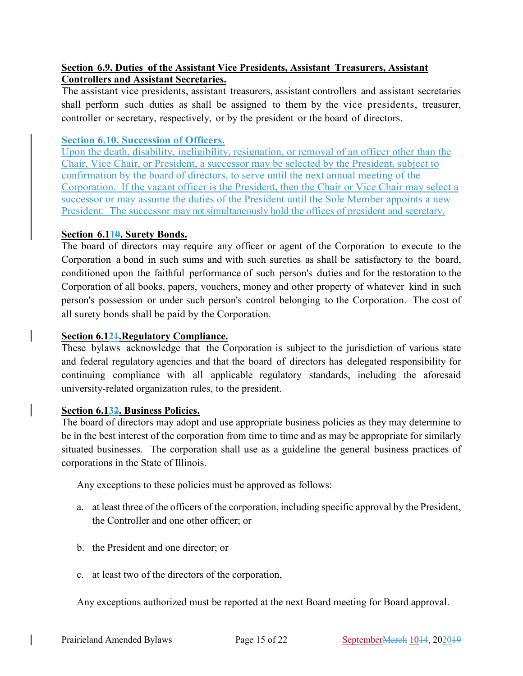# **Section 6.9. Duties of the Assistant Vice Presidents, Assistant Treasurers, Assistant Controllers and Assistant Secretaries.**

The assistant vice presidents, assistant treasurers, assistant controllers and assistant secretaries shall perform such duties as shall be assigned to them by the vice presidents, treasurer, controller or secretary, respectively, or by the president or the board of directors.

# **Section 6.10. Succession of Officers.**

Upon the death, disability, ineligibility, resignation, or removal of an officer other than the Chair, Vice Chair, or President, a successor may be selected by the President, subject to confirmation by the board of directors, to serve until the next annual meeting of the Corporation. If the vacant officer is the President, then the Chair or Vice Chair may select a successor or may assume the duties of the President until the Sole Member appoints a new President. The successor may not simultaneously hold the offices of president and secretary.

# **Section 6.110. Surety Bonds.**

The board of directors may require any officer or agent of the Corporation to execute to the Corporation a bond in such sums and with such sureties as shall be satisfactory to the board, conditioned upon the faithful performance of such person's duties and for the restoration to the Corporation of all books, papers, vouchers, money and other property of whatever kind in such person's possession or under such person's control belonging to the Corporation. The cost of all surety bonds shall be paid by the Corporation.

# **Section 6.121.Regulatory Compliance.**

These bylaws acknowledge that the Corporation is subject to the jurisdiction of various state and federal regulatory agencies and that the board of directors has delegated responsibility for continuing compliance with all applicable regulatory standards, including the aforesaid university-related organization rules, to the president.

### **Section 6.132. Business Policies.**

The board of directors may adopt and use appropriate business policies as they may determine to be in the best interest of the corporation from time to time and as may be appropriate for similarly situated businesses. The corporation shall use as a guideline the general business practices of corporations in the State of Illinois.

Any exceptions to these policies must be approved as follows:

- a. at least three of the officers of the corporation, including specific approval by the President, the Controller and one other officer; or
- b. the President and one director; or
- c. at least two of the directors of the corporation,

Any exceptions authorized must be reported at the next Board meeting for Board approval.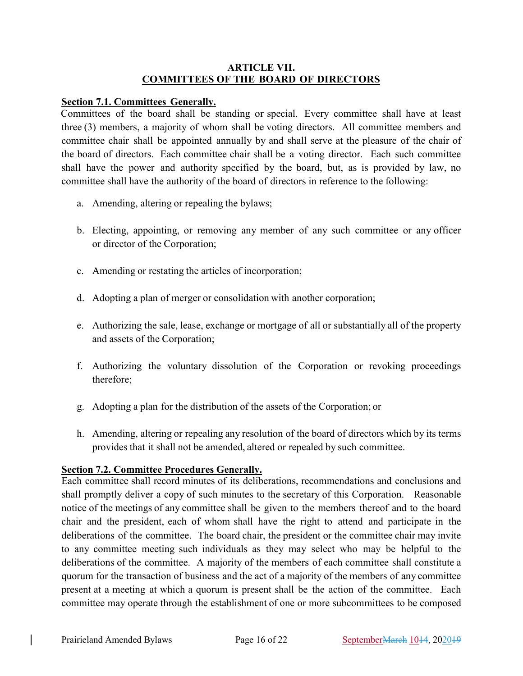# **ARTICLE VII. COMMITTEES OF THE BOARD OF DIRECTORS**

#### **Section 7.1. Committees Generally.**

Committees of the board shall be standing or special. Every committee shall have at least three (3) members, a majority of whom shall be voting directors. All committee members and committee chair shall be appointed annually by and shall serve at the pleasure of the chair of the board of directors. Each committee chair shall be a voting director. Each such committee shall have the power and authority specified by the board, but, as is provided by law, no committee shall have the authority of the board of directors in reference to the following:

- a. Amending, altering or repealing the bylaws;
- b. Electing, appointing, or removing any member of any such committee or any officer or director of the Corporation;
- c. Amending or restating the articles of incorporation;
- d. Adopting a plan of merger or consolidation with another corporation;
- e. Authorizing the sale, lease, exchange or mortgage of all or substantially all of the property and assets of the Corporation;
- f. Authorizing the voluntary dissolution of the Corporation or revoking proceedings therefore;
- g. Adopting a plan for the distribution of the assets of the Corporation; or
- h. Amending, altering or repealing any resolution of the board of directors which by its terms provides that it shall not be amended, altered or repealed by such committee.

# **Section 7.2. Committee Procedures Generally.**

Each committee shall record minutes of its deliberations, recommendations and conclusions and shall promptly deliver a copy of such minutes to the secretary of this Corporation. Reasonable notice of the meetings of any committee shall be given to the members thereof and to the board chair and the president, each of whom shall have the right to attend and participate in the deliberations of the committee. The board chair, the president or the committee chair may invite to any committee meeting such individuals as they may select who may be helpful to the deliberations of the committee. A majority of the members of each committee shall constitute a quorum for the transaction of business and the act of a majority of the members of any committee present at a meeting at which a quorum is present shall be the action of the committee. Each committee may operate through the establishment of one or more subcommittees to be composed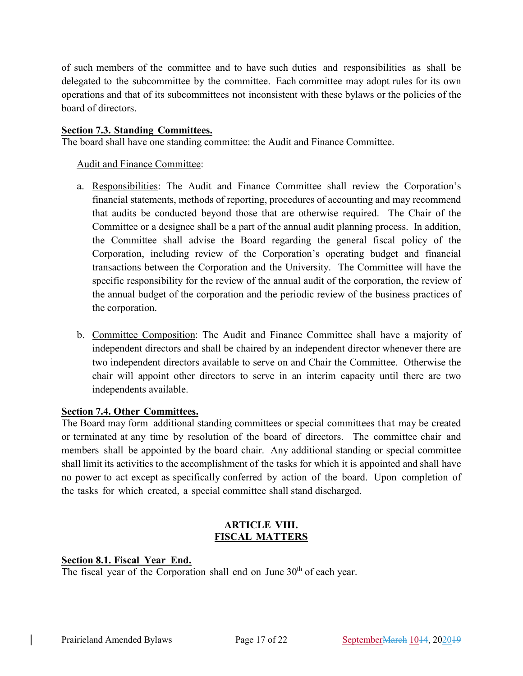of such members of the committee and to have such duties and responsibilities as shall be delegated to the subcommittee by the committee. Each committee may adopt rules for its own operations and that of its subcommittees not inconsistent with these bylaws or the policies of the board of directors.

# **Section 7.3. Standing Committees.**

The board shall have one standing committee: the Audit and Finance Committee.

Audit and Finance Committee:

- a. Responsibilities: The Audit and Finance Committee shall review the Corporation's financial statements, methods of reporting, procedures of accounting and may recommend that audits be conducted beyond those that are otherwise required. The Chair of the Committee or a designee shall be a part of the annual audit planning process. In addition, the Committee shall advise the Board regarding the general fiscal policy of the Corporation, including review of the Corporation's operating budget and financial transactions between the Corporation and the University. The Committee will have the specific responsibility for the review of the annual audit of the corporation, the review of the annual budget of the corporation and the periodic review of the business practices of the corporation.
- b. Committee Composition: The Audit and Finance Committee shall have a majority of independent directors and shall be chaired by an independent director whenever there are two independent directors available to serve on and Chair the Committee. Otherwise the chair will appoint other directors to serve in an interim capacity until there are two independents available.

# **Section 7.4. Other Committees.**

The Board may form additional standing committees or special committees that may be created or terminated at any time by resolution of the board of directors. The committee chair and members shall be appointed by the board chair. Any additional standing or special committee shall limit its activities to the accomplishment of the tasks for which it is appointed and shall have no power to act except as specifically conferred by action of the board. Upon completion of the tasks for which created, a special committee shall stand discharged.

# **ARTICLE VIII. FISCAL MATTERS**

# **Section 8.1. Fiscal Year End.**

The fiscal year of the Corporation shall end on June 30<sup>th</sup> of each year.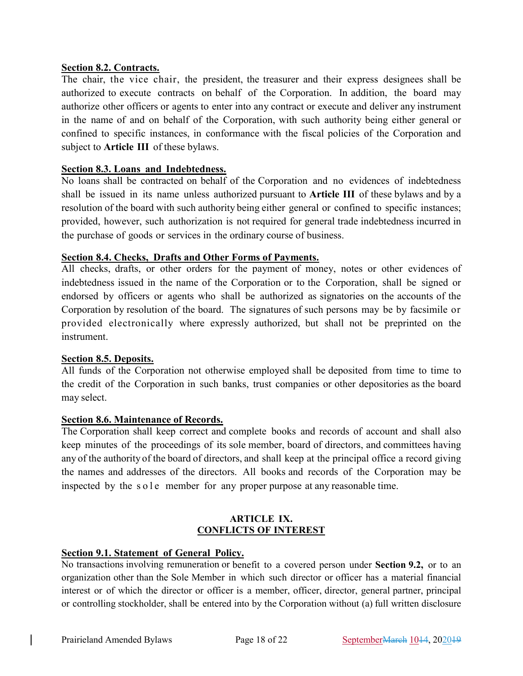### **Section 8.2. Contracts.**

The chair, the vice chair, the president, the treasurer and their express designees shall be authorized to execute contracts on behalf of the Corporation. In addition, the board may authorize other officers or agents to enter into any contract or execute and deliver any instrument in the name of and on behalf of the Corporation, with such authority being either general or confined to specific instances, in conformance with the fiscal policies of the Corporation and subject to **Article III** of these bylaws.

# **Section 8.3. Loans and Indebtedness.**

No loans shall be contracted on behalf of the Corporation and no evidences of indebtedness shall be issued in its name unless authorized pursuant to **Article III** of these bylaws and by a resolution of the board with such authority being either general or confined to specific instances; provided, however, such authorization is not required for general trade indebtedness incurred in the purchase of goods or services in the ordinary course of business.

# **Section 8.4. Checks, Drafts and Other Forms of Payments.**

All checks, drafts, or other orders for the payment of money, notes or other evidences of indebtedness issued in the name of the Corporation or to the Corporation, shall be signed or endorsed by officers or agents who shall be authorized as signatories on the accounts of the Corporation by resolution of the board. The signatures of such persons may be by facsimile or provided electronically where expressly authorized, but shall not be preprinted on the instrument.

#### **Section 8.5. Deposits.**

All funds of the Corporation not otherwise employed shall be deposited from time to time to the credit of the Corporation in such banks, trust companies or other depositories as the board may select.

#### **Section 8.6. Maintenance of Records.**

The Corporation shall keep correct and complete books and records of account and shall also keep minutes of the proceedings of its sole member, board of directors, and committees having any of the authority of the board of directors, and shall keep at the principal office a record giving the names and addresses of the directors. All books and records of the Corporation may be inspected by the sole member for any proper purpose at any reasonable time.

#### **ARTICLE IX. CONFLICTS OF INTEREST**

#### **Section 9.1. Statement of General Policy.**

No transactions involving remuneration or benefit to a covered person under **Section 9.2,** or to an organization other than the Sole Member in which such director or officer has a material financial interest or of which the director or officer is a member, officer, director, general partner, principal or controlling stockholder, shall be entered into by the Corporation without (a) full written disclosure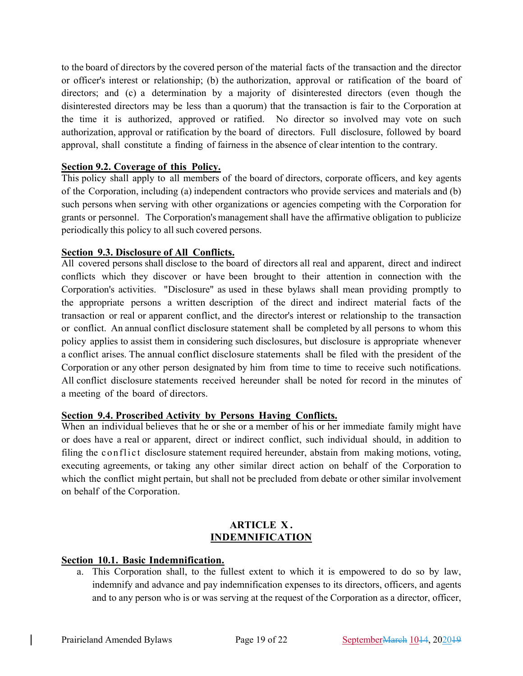to the board of directors by the covered person of the material facts of the transaction and the director or officer's interest or relationship; (b) the authorization, approval or ratification of the board of directors; and (c) a determination by a majority of disinterested directors (even though the disinterested directors may be less than a quorum) that the transaction is fair to the Corporation at the time it is authorized, approved or ratified. No director so involved may vote on such authorization, approval or ratification by the board of directors. Full disclosure, followed by board approval, shall constitute a finding of fairness in the absence of clear intention to the contrary.

# **Section 9.2. Coverage of this Policy.**

This policy shall apply to all members of the board of directors, corporate officers, and key agents of the Corporation, including (a) independent contractors who provide services and materials and (b) such persons when serving with other organizations or agencies competing with the Corporation for grants or personnel. The Corporation's management shall have the affirmative obligation to publicize periodically this policy to all such covered persons.

# **Section 9.3. Disclosure of All Conflicts.**

All covered persons shall disclose to the board of directors all real and apparent, direct and indirect conflicts which they discover or have been brought to their attention in connection with the Corporation's activities. "Disclosure" as used in these bylaws shall mean providing promptly to the appropriate persons a written description of the direct and indirect material facts of the transaction or real or apparent conflict, and the director's interest or relationship to the transaction or conflict. An annual conflict disclosure statement shall be completed by all persons to whom this policy applies to assist them in considering such disclosures, but disclosure is appropriate whenever a conflict arises. The annual conflict disclosure statements shall be filed with the president of the Corporation or any other person designated by him from time to time to receive such notifications. All conflict disclosure statements received hereunder shall be noted for record in the minutes of a meeting of the board of directors.

#### **Section 9.4. Proscribed Activity by Persons Having Conflicts.**

When an individual believes that he or she or a member of his or her immediate family might have or does have a real or apparent, direct or indirect conflict, such individual should, in addition to filing the conflict disclosure statement required hereunder, abstain from making motions, voting, executing agreements, or taking any other similar direct action on behalf of the Corporation to which the conflict might pertain, but shall not be precluded from debate or other similar involvement on behalf of the Corporation.

#### **ARTICLE X . INDEMNIFICATION**

#### **Section 10.1. Basic Indemnification.**

a. This Corporation shall, to the fullest extent to which it is empowered to do so by law, indemnify and advance and pay indemnification expenses to its directors, officers, and agents and to any person who is or was serving at the request of the Corporation as a director, officer,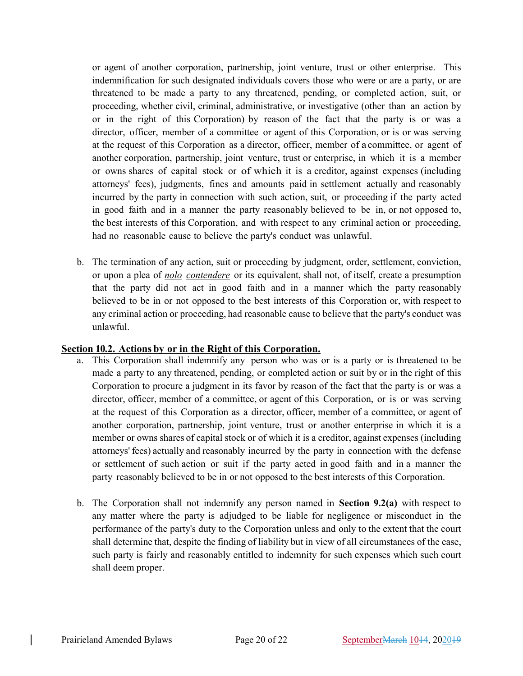or agent of another corporation, partnership, joint venture, trust or other enterprise. This indemnification for such designated individuals covers those who were or are a party, or are threatened to be made a party to any threatened, pending, or completed action, suit, or proceeding, whether civil, criminal, administrative, or investigative (other than an action by or in the right of this Corporation) by reason of the fact that the party is or was a director, officer, member of a committee or agent of this Corporation, or is or was serving at the request of this Corporation as a director, officer, member of a committee, or agent of another corporation, partnership, joint venture, trust or enterprise, in which it is a member or owns shares of capital stock or of which it is a creditor, against expenses (including attorneys' fees), judgments, fines and amounts paid in settlement actually and reasonably incurred by the party in connection with such action, suit, or proceeding if the party acted in good faith and in a manner the party reasonably believed to be in, or not opposed to, the best interests of this Corporation, and with respect to any criminal action or proceeding, had no reasonable cause to believe the party's conduct was unlawful.

b. The termination of any action, suit or proceeding by judgment, order, settlement, conviction, or upon a plea of *nolo contendere* or its equivalent, shall not, of itself, create a presumption that the party did not act in good faith and in a manner which the party reasonably believed to be in or not opposed to the best interests of this Corporation or, with respect to any criminal action or proceeding, had reasonable cause to believe that the party's conduct was unlawful.

### **Section 10.2. Actions by or in the Right of this Corporation.**

- a. This Corporation shall indemnify any person who was or is a party or is threatened to be made a party to any threatened, pending, or completed action or suit by or in the right of this Corporation to procure a judgment in its favor by reason of the fact that the party is or was a director, officer, member of a committee, or agent of this Corporation, or is or was serving at the request of this Corporation as a director, officer, member of a committee, or agent of another corporation, partnership, joint venture, trust or another enterprise in which it is a member or owns shares of capital stock or of which it is a creditor, against expenses (including attorneys' fees) actually and reasonably incurred by the party in connection with the defense or settlement of such action or suit if the party acted in good faith and in a manner the party reasonably believed to be in or not opposed to the best interests of this Corporation.
- b. The Corporation shall not indemnify any person named in **Section 9.2(a)** with respect to any matter where the party is adjudged to be liable for negligence or misconduct in the performance of the party's duty to the Corporation unless and only to the extent that the court shall determine that, despite the finding of liability but in view of all circumstances of the case, such party is fairly and reasonably entitled to indemnity for such expenses which such court shall deem proper.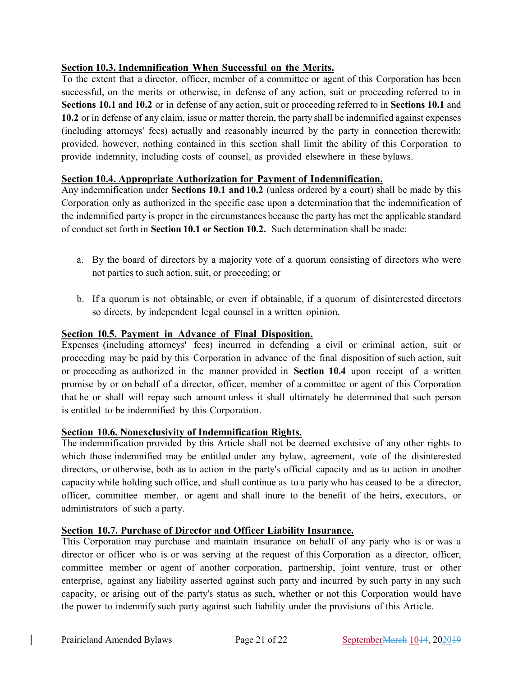# **Section 10.3. Indemnification When Successful on the Merits.**

To the extent that a director, officer, member of a committee or agent of this Corporation has been successful, on the merits or otherwise, in defense of any action, suit or proceeding referred to in **Sections 10.1 and 10.2** or in defense of any action, suit or proceeding referred to in **Sections** 10.1 and **10.2** or in defense of any claim, issue or matter therein, the party shall be indemnified against expenses (including attorneys' fees) actually and reasonably incurred by the party in connection therewith; provided, however, nothing contained in this section shall limit the ability of this Corporation to provide indemnity, including costs of counsel, as provided elsewhere in these bylaws.

#### **Section 10.4. Appropriate Authorization for Payment of Indemnification.**

Any indemnification under **Sections 10.1 and 10.2** (unless ordered by a court) shall be made by this Corporation only as authorized in the specific case upon a determination that the indemnification of the indemnified party is proper in the circumstances because the party has met the applicable standard of conduct set forth in **Section 10.1 or Section 10.2.** Such determination shall be made:

- a. By the board of directors by a majority vote of a quorum consisting of directors who were not parties to such action,suit, or proceeding; or
- b. If a quorum is not obtainable, or even if obtainable, if a quorum of disinterested directors so directs, by independent legal counsel in a written opinion.

# **Section 10.5. Payment in Advance of Final Disposition.**

Expenses (including attorneys' fees) incurred in defending a civil or criminal action, suit or proceeding may be paid by this Corporation in advance of the final disposition of such action, suit or proceeding as authorized in the manner provided in **Section 10.4** upon receipt of a written promise by or on behalf of a director, officer, member of a committee or agent of this Corporation that he or shall will repay such amount unless it shall ultimately be determined that such person is entitled to be indemnified by this Corporation.

### **Section 10.6. Nonexclusivity of Indemnification Rights.**

The indemnification provided by this Article shall not be deemed exclusive of any other rights to which those indemnified may be entitled under any bylaw, agreement, vote of the disinterested directors, or otherwise, both as to action in the party's official capacity and as to action in another capacity while holding such office, and shall continue as to a party who has ceased to be a director, officer, committee member, or agent and shall inure to the benefit of the heirs, executors, or administrators of such a party.

#### **Section 10.7. Purchase of Director and Officer Liability Insurance.**

This Corporation may purchase and maintain insurance on behalf of any party who is or was a director or officer who is or was serving at the request of this Corporation as a director, officer, committee member or agent of another corporation, partnership, joint venture, trust or other enterprise, against any liability asserted against such party and incurred by such party in any such capacity, or arising out of the party's status as such, whether or not this Corporation would have the power to indemnify such party against such liability under the provisions of this Article.